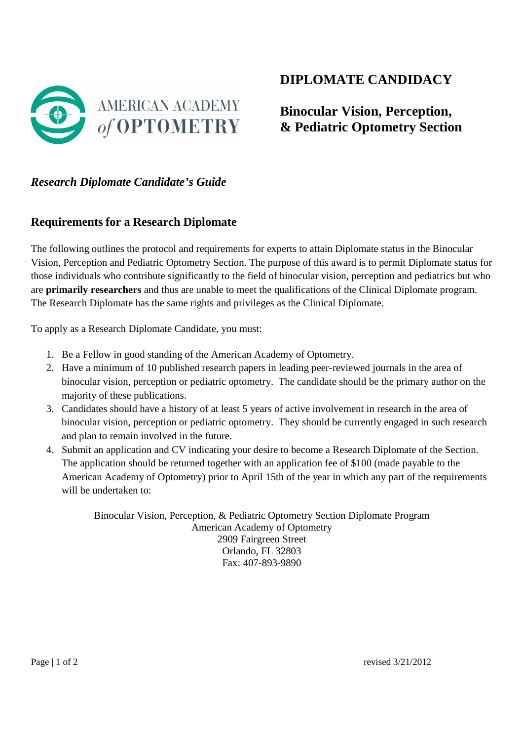

## **DIPLOMATE CANDIDACY**

# **Binocular Vision, Perception, & Pediatric Optometry Section**

#### *Research Diplomate Candidate's Guide*

#### **Requirements for a Research Diplomate**

The following outlines the protocol and requirements for experts to attain Diplomate status in the Binocular Vision, Perception and Pediatric Optometry Section. The purpose of this award is to permit Diplomate status for those individuals who contribute significantly to the field of binocular vision, perception and pediatrics but who are **primarily researchers** and thus are unable to meet the qualifications of the Clinical Diplomate program. The Research Diplomate has the same rights and privileges as the Clinical Diplomate.

To apply as a Research Diplomate Candidate, you must:

- 1. Be a Fellow in good standing of the American Academy of Optometry.
- 2. Have a minimum of 10 published research papers in leading peer-reviewed journals in the area of binocular vision, perception or pediatric optometry. The candidate should be the primary author on the majority of these publications.
- 3. Candidates should have a history of at least 5 years of active involvement in research in the area of binocular vision, perception or pediatric optometry. They should be currently engaged in such research and plan to remain involved in the future.
- 4. Submit an application and CV indicating your desire to become a Research Diplomate of the Section. The application should be returned together with an application fee of \$100 (made payable to the American Academy of Optometry) prior to April 15th of the year in which any part of the requirements will be undertaken to:

Binocular Vision, Perception, & Pediatric Optometry Section Diplomate Program American Academy of Optometry 2909 Fairgreen Street Orlando, FL 32803 Fax: 407-893-9890